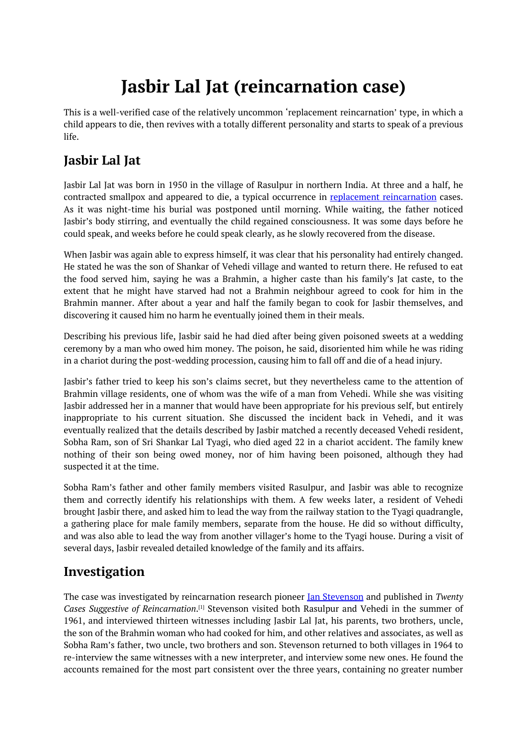# **Jasbir Lal Jat (reincarnation case)**

<span id="page-0-0"></span>This is a well-verified case of the relatively uncommon 'replacement reincarnation' type, in which a child appears to die, then revives with a totally different personality and starts to speak of a previous life.

# **Jasbir Lal Jat**

Jasbir Lal Jat was born in 1950 in the village of Rasulpur in northern India. At three and a half, he contracted smallpox and appeared to die, a typical occurrence in replacement reincarnation cases. As it was night-time his burial was postponed until morning. While waiting, the father noticed Jasbir's body stirring, and eventually the child regained consciousness. It was some days before he could speak, and weeks before he could speak clearly, as he slowly recovered from the disease.

When Jasbir was again able to express himself, it was clear that his personality had entirely changed. He stated he was the son of Shankar of Vehedi village and wanted to return there. He refused to eat the food served him, saying he was a Brahmin, a higher caste than his family's Jat caste, to the extent that he might have starved had not a Brahmin neighbour agreed to cook for him in the Brahmin manner. After about a year and half the family began to cook for Jasbir themselves, and discovering it caused him no harm he eventually joined them in their meals.

Describing his previous life, Jasbir said he had died after being given poisoned sweets at a wedding ceremony by a man who owed him money. The poison, he said, disoriented him while he was riding in a chariot during the post-wedding procession, causing him to fall off and die of a head injury.

Jasbir's father tried to keep his son's claims secret, but they nevertheless came to the attention of Brahmin village residents, one of whom was the wife of a man from Vehedi. While she was visiting Jasbir addressed her in a manner that would have been appropriate for his previous self, but entirely inappropriate to his current situation. She discussed the incident back in Vehedi, and it was eventually realized that the details described by Jasbir matched a recently deceased Vehedi resident, Sobha Ram, son of Sri Shankar Lal Tyagi, who died aged 22 in a chariot accident. The family knew nothing of their son being owed money, nor of him having been poisoned, although they had suspected it at the time.

Sobha Ram's father and other family members visited Rasulpur, and Jasbir was able to recognize them and correctly identify his relationships with them. A few weeks later, a resident of Vehedi brought Jasbir there, and asked him to lead the way from the railway station to the Tyagi quadrangle, a gathering place for male family members, separate from the house. He did so without difficulty, and was also able to lead the way from another villager's home to the Tyagi house. During a visit of several days, Jasbir revealed detailed knowledge of the family and its affairs.

# **Investigation**

The case was investigated by reincarnation research pioneer Ian Stevenson and published in *Twenty Cases Suggestive of Reincarnation*. [1] Stevenson visited both Rasulpur and Vehedi in the summer of 1961, and interviewed thirteen witnesses including Jasbir Lal Jat, his parents, two brothers, uncle, the son of the Brahmin woman who had cooked for him, and other relatives and associates, as well as Sobha Ram's father, two uncle, t[wo](#page-0-0) brothers and son. Stevenson returned to both villages in 1964 to re-interview the same witnesses with a new interpreter, and interview some new ones. He found the accounts remained for the most part consistent over the three years, containing no greater number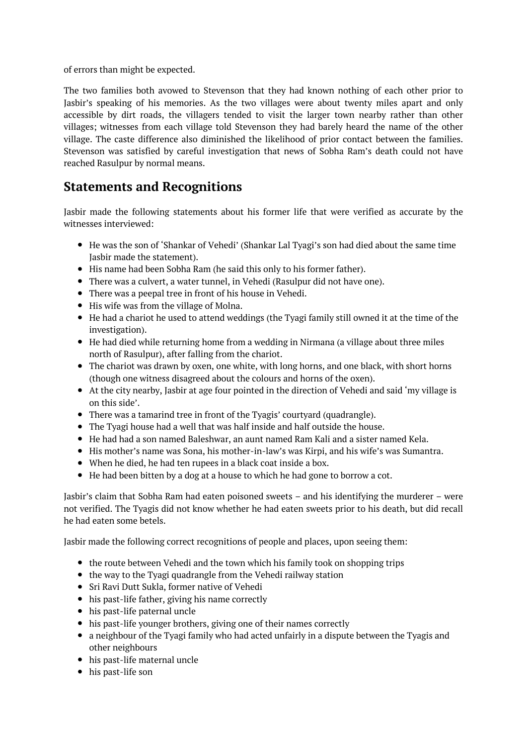of errors than might be expected.

The two families both avowed to Stevenson that they had known nothing of each other prior to Jasbir's speaking of his memories. As the two villages were about twenty miles apart and only accessible by dirt roads, the villagers tended to visit the larger town nearby rather than other villages; witnesses from each village told Stevenson they had barely heard the name of the other village. The caste difference also diminished the likelihood of prior contact between the families. Stevenson was satisfied by careful investigation that news of Sobha Ram's death could not have reached Rasulpur by normal means.

# **Statements and Recognitions**

Jasbir made the following statements about his former life that were verified as accurate by the witnesses interviewed:

- He was the son of 'Shankar of Vehedi' (Shankar Lal Tyagi's son had died about the same time Jasbir made the statement).
- His name had been Sobha Ram (he said this only to his former father).
- There was a culvert, a water tunnel, in Vehedi (Rasulpur did not have one).
- There was a peepal tree in front of his house in Vehedi.
- His wife was from the village of Molna.
- He had a chariot he used to attend weddings (the Tyagi family still owned it at the time of the investigation).
- He had died while returning home from a wedding in Nirmana (a village about three miles north of Rasulpur), after falling from the chariot.
- The chariot was drawn by oxen, one white, with long horns, and one black, with short horns (though one witness disagreed about the colours and horns of the oxen).
- At the city nearby, Jasbir at age four pointed in the direction of Vehedi and said 'my village is on this side'.
- There was a tamarind tree in front of the Tyagis' courtyard (quadrangle).
- The Tyagi house had a well that was half inside and half outside the house.
- He had had a son named Baleshwar, an aunt named Ram Kali and a sister named Kela.
- His mother's name was Sona, his mother-in-law's was Kirpi, and his wife's was Sumantra.
- When he died, he had ten rupees in a black coat inside a box.
- He had been bitten by a dog at a house to which he had gone to borrow a cot.

Jasbir's claim that Sobha Ram had eaten poisoned sweets – and his identifying the murderer – were not verified. The Tyagis did not know whether he had eaten sweets prior to his death, but did recall he had eaten some betels.

Jasbir made the following correct recognitions of people and places, upon seeing them:

- the route between Vehedi and the town which his family took on shopping trips
- the way to the Tyagi quadrangle from the Vehedi railway station
- Sri Ravi Dutt Sukla, former native of Vehedi
- his past-life father, giving his name correctly
- his past-life paternal uncle
- his past-life younger brothers, giving one of their names correctly
- a neighbour of the Tyagi family who had acted unfairly in a dispute between the Tyagis and other neighbours
- his past-life maternal uncle
- his past-life son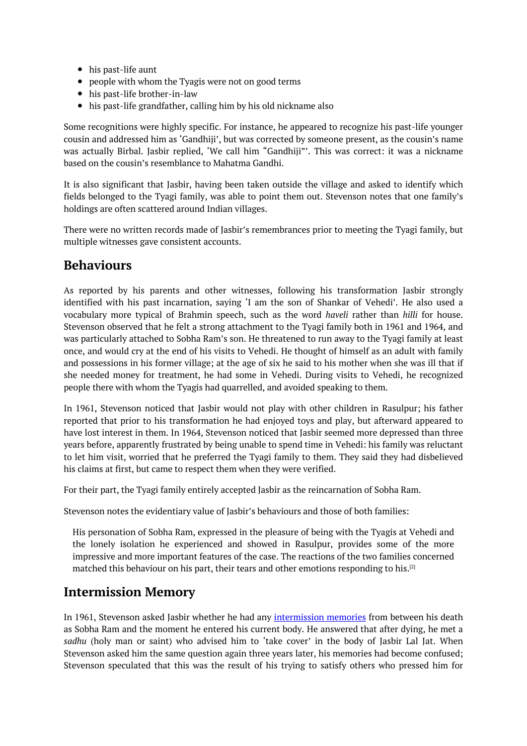- his past-life aunt
- people with whom the Tyagis were not on good terms
- his past-life brother-in-law
- his past-life grandfather, calling him by his old nickname also

Some recognitions were highly specific. For instance, he appeared to recognize his past-life younger cousin and addressed him as 'Gandhiji', but was corrected by someone present, as the cousin's name was actually Birbal. Jasbir replied, 'We call him "Gandhiji"'. This was correct: it was a nickname based on the cousin's resemblance to Mahatma Gandhi.

It is also significant that Jasbir, having been taken outside the village and asked to identify which fields belonged to the Tyagi family, was able to point them out. Stevenson notes that one family's holdings are often scattered around Indian villages.

There were no written records made of Jasbir's remembrances prior to meeting the Tyagi family, but multiple witnesses gave consistent accounts.

### **Behaviours**

As reported by his parents and other witnesses, following his transformation Jasbir strongly identified with his past incarnation, saying 'I am the son of Shankar of Vehedi'. He also used a vocabulary more typical of Brahmin speech, such as the word *haveli* rather than *hilli* for house. Stevenson observed that he felt a strong attachment to the Tyagi family both in 1961 and 1964, and was particularly attached to Sobha Ram's son. He threatened to run away to the Tyagi family at least once, and would cry at the end of his visits to Vehedi. He thought of himself as an adult with family and possessions in his former village; at the age of six he said to his mother when she was ill that if she needed money for treatment, he had some in Vehedi. During visits to Vehedi, he recognized people there with whom the Tyagis had quarrelled, and avoided speaking to them.

In 1961, Stevenson noticed that Jasbir would not play with other children in Rasulpur; his father reported that prior to his transformation he had enjoyed toys and play, but afterward appeared to have lost interest in them. In 1964, Stevenson noticed that Jasbir seemed more depressed than three years before, apparently frustrated by being unable to spend time in Vehedi: his family was reluctant to let him visit, worried that he preferred the Tyagi family to them. They said they had disbelieved his claims at first, but came to respect them when they were verified.

For their part, the Tyagi family entirely accepted Jasbir as the reincarnation of Sobha Ram.

Stevenson notes the evidentiary value of Jasbir's behaviours and those of both families:

His personation of Sobha Ram, expressed in the pleasure of being with the Tyagis at Vehedi and the lonely isolation he experienced and showed in Rasulpur, provides some of the more impressive and more important features of the case. The reactions of the two families concerned matched this behaviour on his part, their tears and other emotions responding to his.<sup>[2]</sup>

### **Intermission Memory**

In 1961, Stevenson asked Jasbir whether he had any intermission memories from betw[ee](#page-0-0)n his death as Sobha Ram and the moment he entered his current body. He answered that after dying, he met a *sadhu* (holy man or saint) who advised him to 'take cover' in the body of Jasbir Lal Jat. When Stevenson asked him the same question again three years later, his memories had become confused; Stevenson speculated that this was the result of his trying to satisfy others who pressed him for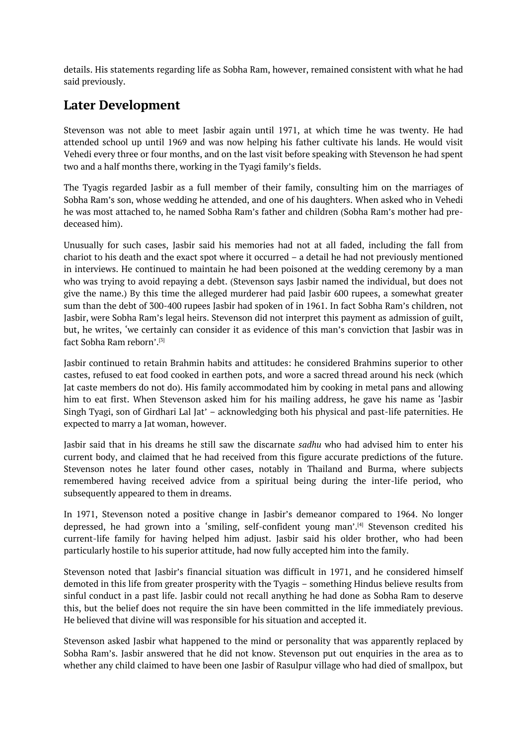details. His statements regarding life as Sobha Ram, however, remained consistent with what he had said previously.

# **Later Development**

Stevenson was not able to meet Jasbir again until 1971, at which time he was twenty. He had attended school up until 1969 and was now helping his father cultivate his lands. He would visit Vehedi every three or four months, and on the last visit before speaking with Stevenson he had spent two and a half months there, working in the Tyagi family's fields.

The Tyagis regarded Jasbir as a full member of their family, consulting him on the marriages of Sobha Ram's son, whose wedding he attended, and one of his daughters. When asked who in Vehedi he was most attached to, he named Sobha Ram's father and children (Sobha Ram's mother had predeceased him).

Unusually for such cases, Jasbir said his memories had not at all faded, including the fall from chariot to his death and the exact spot where it occurred – a detail he had not previously mentioned in interviews. He continued to maintain he had been poisoned at the wedding ceremony by a man who was trying to avoid repaying a debt. (Stevenson says Jasbir named the individual, but does not give the name.) By this time the alleged murderer had paid Jasbir 600 rupees, a somewhat greater sum than the debt of 300-400 rupees Jasbir had spoken of in 1961. In fact Sobha Ram's children, not Jasbir, were Sobha Ram's legal heirs. Stevenson did not interpret this payment as admission of guilt, but, he writes, 'we certainly can consider it as evidence of this man's conviction that Jasbir was in fact Sobha Ram reborn'. [3]

Jasbir continued to retain Brahmin habits and attitudes: he considered Brahmins superior to other castes, refused to eat food cooked in earthen pots, and wore a sacred thread around his neck (which Jat caste members do n[ot](#page-0-0) do). His family accommodated him by cooking in metal pans and allowing him to eat first. When Stevenson asked him for his mailing address, he gave his name as 'Jasbir Singh Tyagi, son of Girdhari Lal Jat' – acknowledging both his physical and past-life paternities. He expected to marry a Jat woman, however.

Jasbir said that in his dreams he still saw the discarnate *sadhu* who had advised him to enter his current body, and claimed that he had received from this figure accurate predictions of the future. Stevenson notes he later found other cases, notably in Thailand and Burma, where subjects remembered having received advice from a spiritual being during the inter-life period, who subsequently appeared to them in dreams.

In 1971, Stevenson noted a positive change in Jasbir's demeanor compared to 1964. No longer depressed, he had grown into a 'smiling, self-confident young man'. [4] Stevenson credited his current-life family for having helped him adjust. Jasbir said his older brother, who had been particularly hostile to his superior attitude, had now fully accepted him into the family.

Stevenson noted that Jasbir's financial situation was difficult in 1971, [an](#page-0-0)d he considered himself demoted in this life from greater prosperity with the Tyagis – something Hindus believe results from sinful conduct in a past life. Jasbir could not recall anything he had done as Sobha Ram to deserve this, but the belief does not require the sin have been committed in the life immediately previous. He believed that divine will was responsible for his situation and accepted it.

Stevenson asked Jasbir what happened to the mind or personality that was apparently replaced by Sobha Ram's. Jasbir answered that he did not know. Stevenson put out enquiries in the area as to whether any child claimed to have been one Jasbir of Rasulpur village who had died of smallpox, but